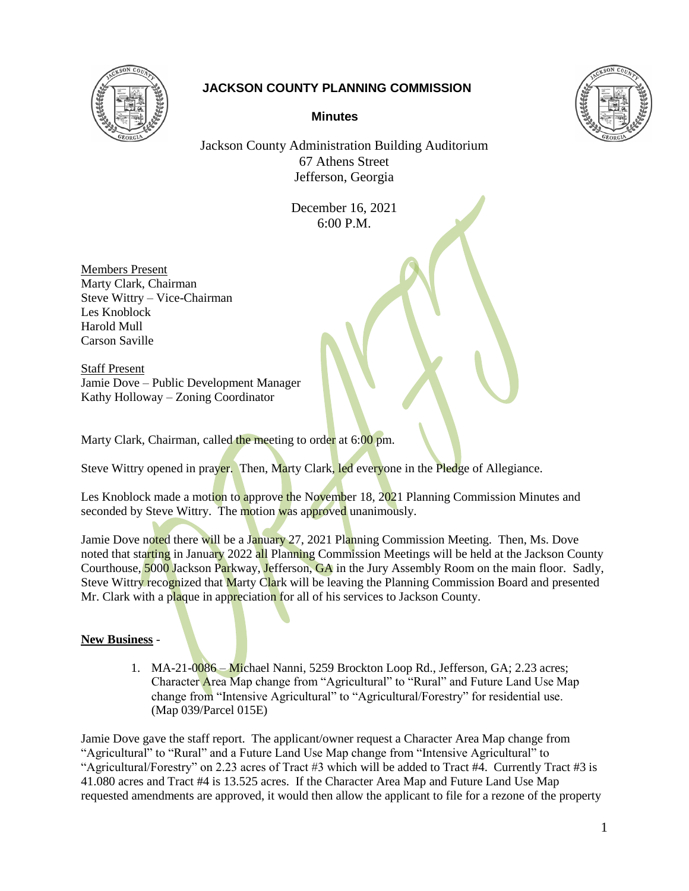

## **JACKSON COUNTY PLANNING COMMISSION**





Jackson County Administration Building Auditorium 67 Athens Street Jefferson, Georgia

> December 16, 2021 6:00 P.M.

Members Present Marty Clark, Chairman Steve Wittry – Vice-Chairman Les Knoblock Harold Mull Carson Saville

Staff Present Jamie Dove – Public Development Manager Kathy Holloway – Zoning Coordinator

Marty Clark, Chairman, called the meeting to order at 6:00 pm.

Steve Wittry opened in prayer. Then, Marty Clark, led everyone in the Pledge of Allegiance.

Les Knoblock made a motion to approve the November 18, 2021 Planning Commission Minutes and seconded by Steve Wittry. The motion was approved unanimously.

Jamie Dove noted there will be a January 27, 2021 Planning Commission Meeting. Then, Ms. Dove noted that starting in January 2022 all Planning Commission Meetings will be held at the Jackson County Courthouse, 5000 Jackson Parkway, Jefferson, GA in the Jury Assembly Room on the main floor. Sadly, Steve Wittry recognized that Marty Clark will be leaving the Planning Commission Board and presented Mr. Clark with a plaque in appreciation for all of his services to Jackson County.

## **New Business** -

1. MA-21-0086 – Michael Nanni, 5259 Brockton Loop Rd., Jefferson, GA; 2.23 acres; Character Area Map change from "Agricultural" to "Rural" and Future Land Use Map change from "Intensive Agricultural" to "Agricultural/Forestry" for residential use. (Map 039/Parcel 015E)

Jamie Dove gave the staff report. The applicant/owner request a Character Area Map change from "Agricultural" to "Rural" and a Future Land Use Map change from "Intensive Agricultural" to "Agricultural/Forestry" on 2.23 acres of Tract #3 which will be added to Tract #4. Currently Tract #3 is 41.080 acres and Tract #4 is 13.525 acres. If the Character Area Map and Future Land Use Map requested amendments are approved, it would then allow the applicant to file for a rezone of the property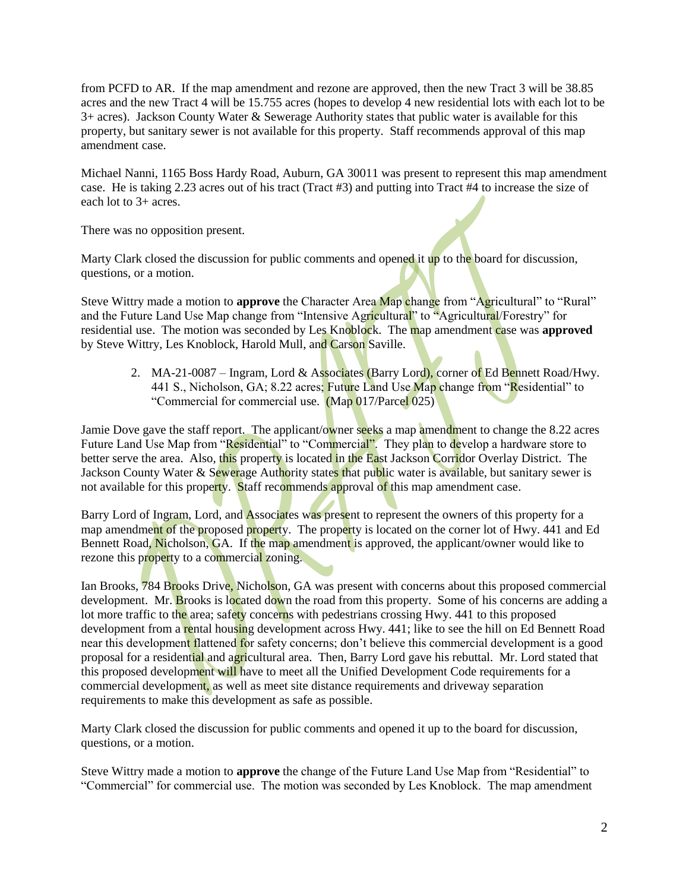from PCFD to AR. If the map amendment and rezone are approved, then the new Tract 3 will be 38.85 acres and the new Tract 4 will be 15.755 acres (hopes to develop 4 new residential lots with each lot to be 3+ acres). Jackson County Water & Sewerage Authority states that public water is available for this property, but sanitary sewer is not available for this property. Staff recommends approval of this map amendment case.

Michael Nanni, 1165 Boss Hardy Road, Auburn, GA 30011 was present to represent this map amendment case. He is taking 2.23 acres out of his tract (Tract #3) and putting into Tract #4 to increase the size of each lot to 3+ acres.

There was no opposition present.

Marty Clark closed the discussion for public comments and opened it up to the board for discussion, questions, or a motion.

Steve Wittry made a motion to **approve** the Character Area Map change from "Agricultural" to "Rural" and the Future Land Use Map change from "Intensive Agricultural" to "Agricultural/Forestry" for residential use. The motion was seconded by Les Knoblock. The map amendment case was **approved** by Steve Wittry, Les Knoblock, Harold Mull, and Carson Saville.

2. MA-21-0087 – Ingram, Lord & Associates (Barry Lord), corner of Ed Bennett Road/Hwy. 441 S., Nicholson, GA; 8.22 acres; Future Land Use Map change from "Residential" to "Commercial for commercial use. (Map 017/Parcel 025)

Jamie Dove gave the staff report. The applicant/owner seeks a map amendment to change the 8.22 acres Future Land Use Map from "Residential" to "Commercial". They plan to develop a hardware store to better serve the area. Also, this property is located in the East Jackson Corridor Overlay District. The Jackson County Water & Sewerage Authority states that public water is available, but sanitary sewer is not available for this property. Staff recommends approval of this map amendment case.

Barry Lord of Ingram, Lord, and **Associates was present to represent the owners of this property for a** map amendment of the proposed property. The property is located on the corner lot of Hwy. 441 and Ed Bennett Road, Nicholson, GA. If the map amendment is approved, the applicant/owner would like to rezone this property to a commercial zoning.

Ian Brooks, 784 Brooks Drive, Nicholson, GA was present with concerns about this proposed commercial development. Mr. Brooks is located down the road from this property. Some of his concerns are adding a lot more traffic to the area; safety concerns with pedestrians crossing Hwy. 441 to this proposed development from a rental housing development across Hwy. 441; like to see the hill on Ed Bennett Road near this development flattened for safety concerns; don't believe this commercial development is a good proposal for a residential and agricultural area. Then, Barry Lord gave his rebuttal. Mr. Lord stated that this proposed development will have to meet all the Unified Development Code requirements for a commercial development, as well as meet site distance requirements and driveway separation requirements to make this development as safe as possible.

Marty Clark closed the discussion for public comments and opened it up to the board for discussion, questions, or a motion.

Steve Wittry made a motion to **approve** the change of the Future Land Use Map from "Residential" to "Commercial" for commercial use. The motion was seconded by Les Knoblock. The map amendment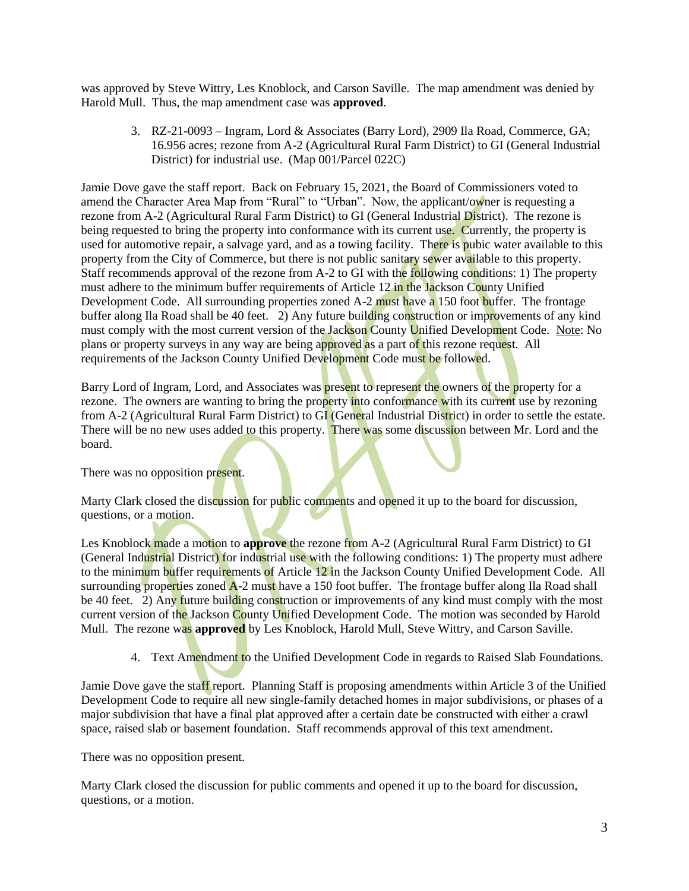was approved by Steve Wittry, Les Knoblock, and Carson Saville. The map amendment was denied by Harold Mull. Thus, the map amendment case was **approved**.

3. RZ-21-0093 – Ingram, Lord & Associates (Barry Lord), 2909 Ila Road, Commerce, GA; 16.956 acres; rezone from A-2 (Agricultural Rural Farm District) to GI (General Industrial District) for industrial use. (Map 001/Parcel 022C)

Jamie Dove gave the staff report. Back on February 15, 2021, the Board of Commissioners voted to amend the Character Area Map from "Rural" to "Urban". Now, the applicant/owner is requesting a rezone from A-2 (Agricultural Rural Farm District) to GI (General Industrial District). The rezone is being requested to bring the property into conformance with its current use. Currently, the property is used for automotive repair, a salvage yard, and as a towing facility. There is pubic water available to this property from the City of Commerce, but there is not public sanitary sewer available to this property. Staff recommends approval of the rezone from A-2 to GI with the following conditions: 1) The property must adhere to the minimum buffer requirements of Article 12 in the Jackson County Unified Development Code. All surrounding properties zoned A-2 must have a 150 foot buffer. The frontage buffer along Ila Road shall be 40 feet. 2) Any future building construction or improvements of any kind must comply with the most current version of the Jackson County Unified Development Code. Note: No plans or property surveys in any way are being approved as a part of this rezone request. All requirements of the Jackson County Unified Development Code must be followed.

Barry Lord of Ingram, Lord, and Associates was present to represent the owners of the property for a rezone. The owners are wanting to bring the property into conformance with its current use by rezoning from A-2 (Agricultural Rural Farm District) to GI (General Industrial District) in order to settle the estate. There will be no new uses added to this property. There was some discussion between Mr. Lord and the board.

There was no opposition present.

Marty Clark closed the discussion for public comments and opened it up to the board for discussion, questions, or a motion.

Les Knoblock made a motion to **approve** the rezone from A-2 (Agricultural Rural Farm District) to GI (General Industrial District) for industrial use with the following conditions: 1) The property must adhere to the minimum buffer requirements of Article 12 in the Jackson County Unified Development Code. All surrounding properties zoned A-2 must have a 150 foot buffer. The frontage buffer along Ila Road shall be 40 feet. 2) Any future building construction or improvements of any kind must comply with the most current version of the Jackson County Unified Development Code. The motion was seconded by Harold Mull. The rezone was **approved** by Les Knoblock, Harold Mull, Steve Wittry, and Carson Saville.

4. Text Amendment to the Unified Development Code in regards to Raised Slab Foundations.

Jamie Dove gave the staff report. Planning Staff is proposing amendments within Article 3 of the Unified Development Code to require all new single-family detached homes in major subdivisions, or phases of a major subdivision that have a final plat approved after a certain date be constructed with either a crawl space, raised slab or basement foundation. Staff recommends approval of this text amendment.

There was no opposition present.

Marty Clark closed the discussion for public comments and opened it up to the board for discussion, questions, or a motion.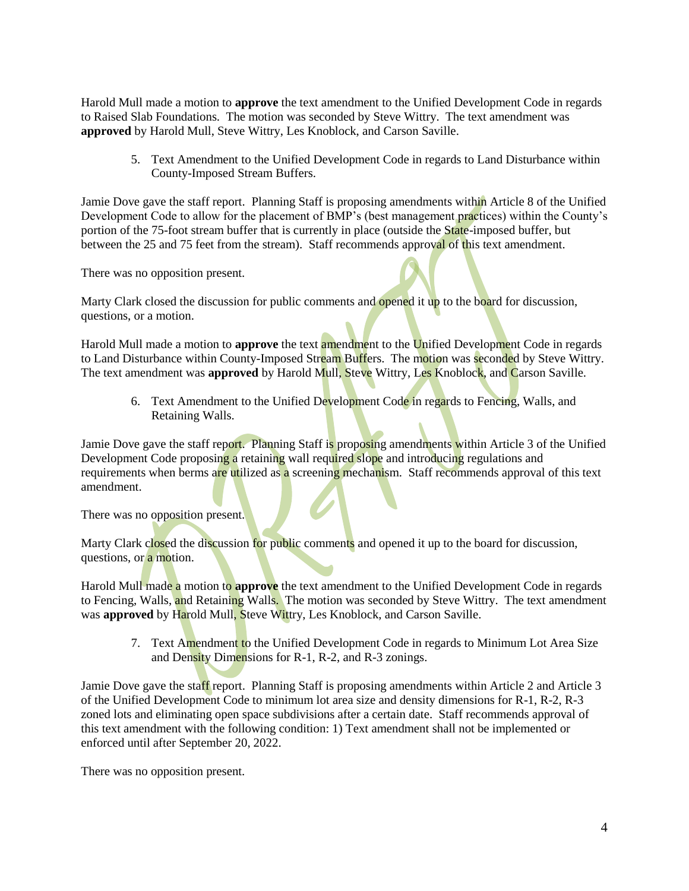Harold Mull made a motion to **approve** the text amendment to the Unified Development Code in regards to Raised Slab Foundations. The motion was seconded by Steve Wittry. The text amendment was **approved** by Harold Mull, Steve Wittry, Les Knoblock, and Carson Saville.

5. Text Amendment to the Unified Development Code in regards to Land Disturbance within County-Imposed Stream Buffers.

Jamie Dove gave the staff report. Planning Staff is proposing amendments within Article 8 of the Unified Development Code to allow for the placement of BMP's (best management practices) within the County's portion of the 75-foot stream buffer that is currently in place (outside the State-imposed buffer, but between the 25 and 75 feet from the stream). Staff recommends approval of this text amendment.

There was no opposition present.

Marty Clark closed the discussion for public comments and opened it up to the board for discussion, questions, or a motion.

Harold Mull made a motion to **approve** the text amendment to the Unified Development Code in regards to Land Disturbance within County-Imposed Stream Buffers. The motion was seconded by Steve Wittry. The text amendment was **approved** by Harold Mull, Steve Wittry, Les Knoblock, and Carson Saville.

6. Text Amendment to the Unified Development Code in regards to Fencing, Walls, and Retaining Walls.

Jamie Dove gave the staff report. Planning Staff is proposing amendments within Article 3 of the Unified Development Code proposing a retaining wall required slope and introducing regulations and requirements when berms are utilized as a screening mechanism. Staff recommends approval of this text amendment.

There was no opposition present.

Marty Clark closed the discussion for public comments and opened it up to the board for discussion, questions, or a motion.

Harold Mull made a motion to **approve** the text amendment to the Unified Development Code in regards to Fencing, Walls, and Retaining Walls. The motion was seconded by Steve Wittry. The text amendment was **approved** by Harold Mull, Steve Wittry, Les Knoblock, and Carson Saville.

7. Text Amendment to the Unified Development Code in regards to Minimum Lot Area Size and Density Dimensions for R-1, R-2, and R-3 zonings.

Jamie Dove gave the staff report. Planning Staff is proposing amendments within Article 2 and Article 3 of the Unified Development Code to minimum lot area size and density dimensions for R-1, R-2, R-3 zoned lots and eliminating open space subdivisions after a certain date. Staff recommends approval of this text amendment with the following condition: 1) Text amendment shall not be implemented or enforced until after September 20, 2022.

There was no opposition present.